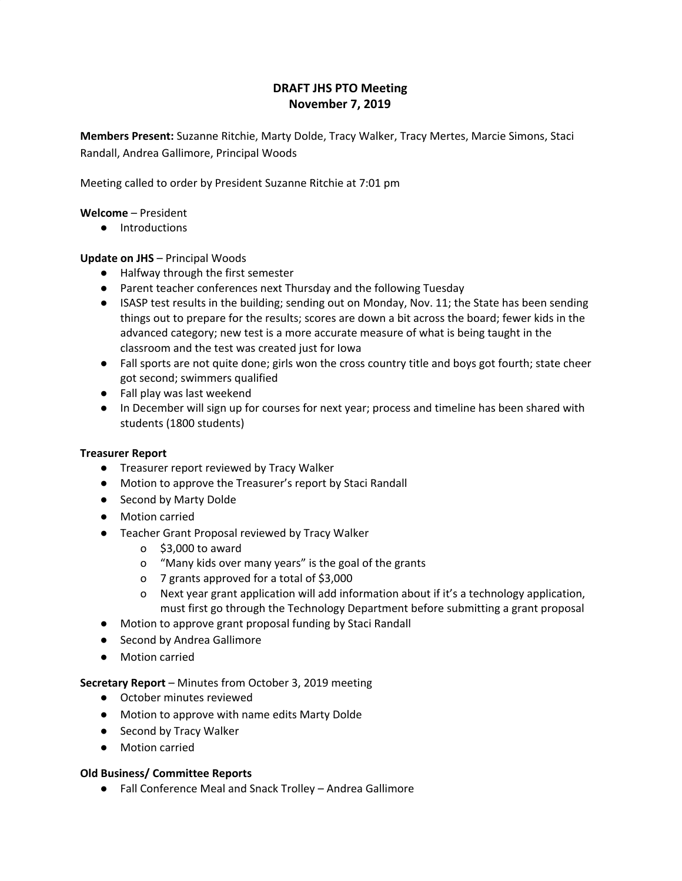# **DRAFT JHS PTO Meeting November 7, 2019**

**Members Present:** Suzanne Ritchie, Marty Dolde, Tracy Walker, Tracy Mertes, Marcie Simons, Staci Randall, Andrea Gallimore, Principal Woods

Meeting called to order by President Suzanne Ritchie at 7:01 pm

### **Welcome** – President

● Introductions

## **Update on JHS** – Principal Woods

- Halfway through the first semester
- Parent teacher conferences next Thursday and the following Tuesday
- ISASP test results in the building; sending out on Monday, Nov. 11; the State has been sending things out to prepare for the results; scores are down a bit across the board; fewer kids in the advanced category; new test is a more accurate measure of what is being taught in the classroom and the test was created just for Iowa
- Fall sports are not quite done; girls won the cross country title and boys got fourth; state cheer got second; swimmers qualified
- Fall play was last weekend
- In December will sign up for courses for next year; process and timeline has been shared with students (1800 students)

## **Treasurer Report**

- Treasurer report reviewed by Tracy Walker
- Motion to approve the Treasurer's report by Staci Randall
- Second by Marty Dolde
- Motion carried
- Teacher Grant Proposal reviewed by Tracy Walker
	- o \$3,000 to award
	- o "Many kids over many years" is the goal of the grants
	- o 7 grants approved for a total of \$3,000
	- o Next year grant application will add information about if it's a technology application, must first go through the Technology Department before submitting a grant proposal
- Motion to approve grant proposal funding by Staci Randall
- Second by Andrea Gallimore
- Motion carried

## **Secretary Report** – Minutes from October 3, 2019 meeting

- October minutes reviewed
- Motion to approve with name edits Marty Dolde
- Second by Tracy Walker
- Motion carried

## **Old Business/ Committee Reports**

**●** Fall Conference Meal and Snack Trolley – Andrea Gallimore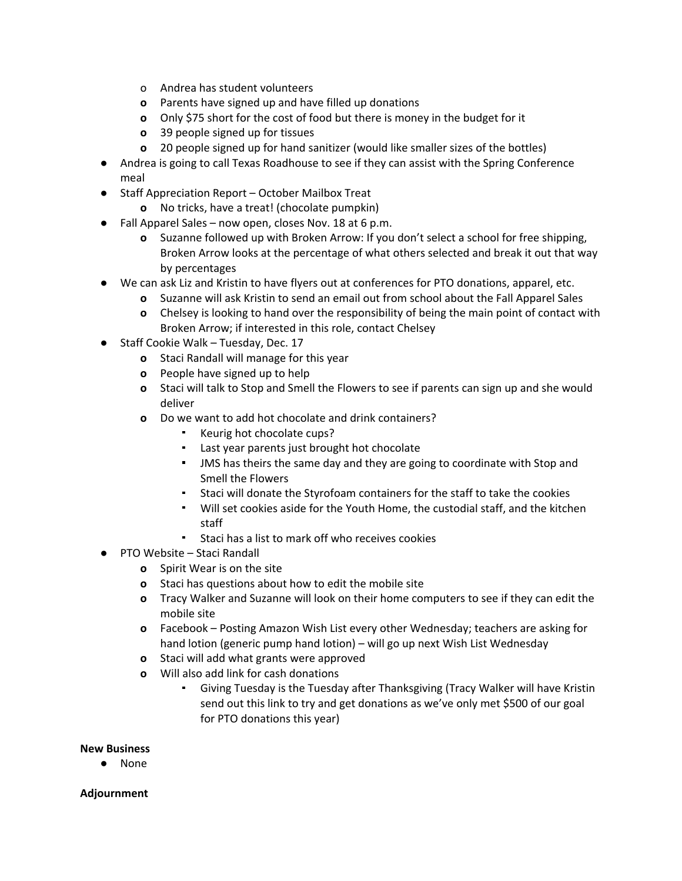- o Andrea has student volunteers
- **o** Parents have signed up and have filled up donations
- **o** Only \$75 short for the cost of food but there is money in the budget for it
- **o** 39 people signed up for tissues
- **o** 20 people signed up for hand sanitizer (would like smaller sizes of the bottles)
- **●** Andrea is going to call Texas Roadhouse to see if they can assist with the Spring Conference meal
- **●** Staff Appreciation Report October Mailbox Treat
	- **o** No tricks, have a treat! (chocolate pumpkin)
- **●** Fall Apparel Sales now open, closes Nov. 18 at 6 p.m.
	- **o** Suzanne followed up with Broken Arrow: If you don't select a school for free shipping, Broken Arrow looks at the percentage of what others selected and break it out that way by percentages
- **●** We can ask Liz and Kristin to have flyers out at conferences for PTO donations, apparel, etc.
	- **o** Suzanne will ask Kristin to send an email out from school about the Fall Apparel Sales
	- **o** Chelsey is looking to hand over the responsibility of being the main point of contact with Broken Arrow; if interested in this role, contact Chelsey
- **●** Staff Cookie Walk Tuesday, Dec. 17
	- **o** Staci Randall will manage for this year
	- **o** People have signed up to help
	- **o** Staci will talk to Stop and Smell the Flowers to see if parents can sign up and she would deliver
	- **o** Do we want to add hot chocolate and drink containers?
		- Keurig hot chocolate cups?
		- Last year parents just brought hot chocolate
		- **.** JMS has theirs the same day and they are going to coordinate with Stop and Smell the Flowers
		- Staci will donate the Styrofoam containers for the staff to take the cookies
		- Will set cookies aside for the Youth Home, the custodial staff, and the kitchen staff
		- Staci has a list to mark off who receives cookies
- **●** PTO Website Staci Randall
	- **o** Spirit Wear is on the site
	- **o** Staci has questions about how to edit the mobile site
	- **o** Tracy Walker and Suzanne will look on their home computers to see if they can edit the mobile site
	- **o** Facebook Posting Amazon Wish List every other Wednesday; teachers are asking for hand lotion (generic pump hand lotion) – will go up next Wish List Wednesday
	- **o** Staci will add what grants were approved
	- **o** Will also add link for cash donations
		- Giving Tuesday is the Tuesday after Thanksgiving (Tracy Walker will have Kristin send out this link to try and get donations as we've only met \$500 of our goal for PTO donations this year)

## **New Business**

● None

## **Adjournment**